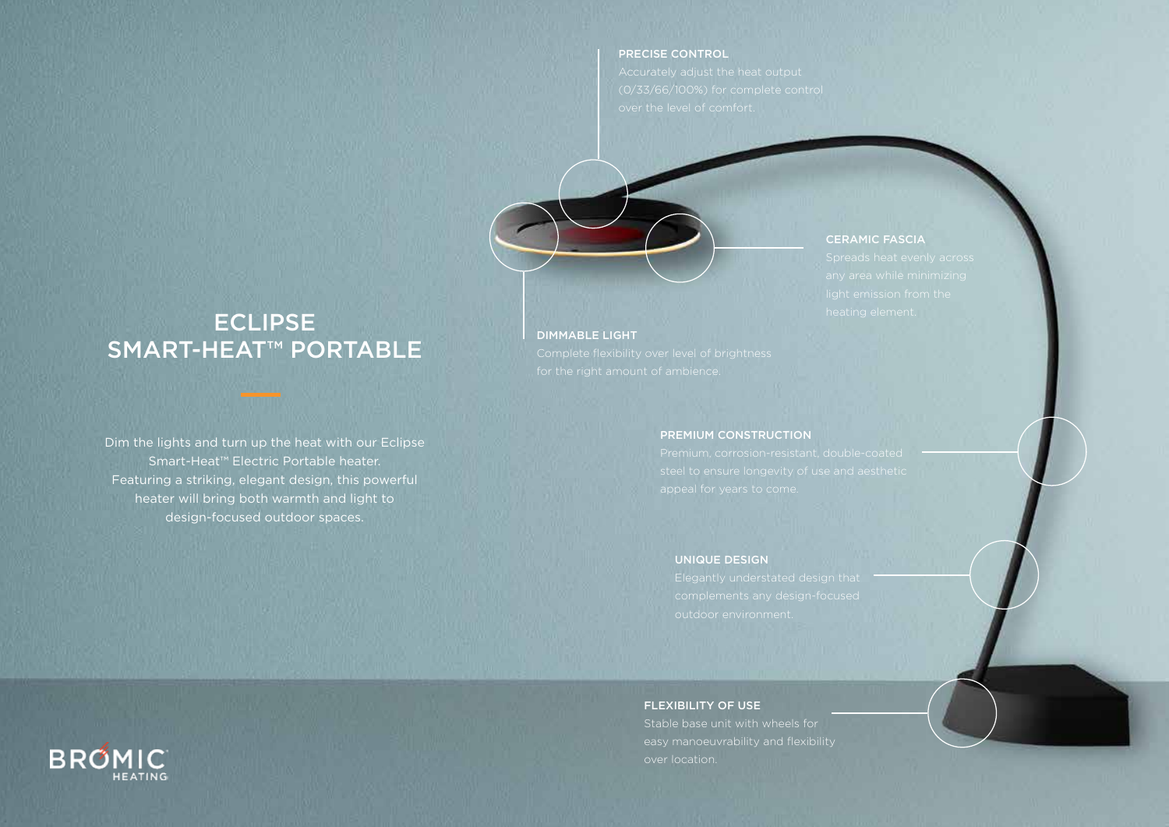#### PRECISE CONTROL



#### CERAMIC FASCIA

# ECLIPSE SMART-HEAT™ PORTABLE

Dim the lights and turn up the heat with our Eclipse Smart-Heat™ Electric Portable heater. Featuring a striking, elegant design, this powerful heater will bring both warmth and light to design-focused outdoor spaces.

#### DIMMABLE LIGHT

### PREMIUM CONSTRUCTION

### UNIQUE DESIGN

#### FLEXIBILITY OF USE

Stable base unit with wheels for over location.

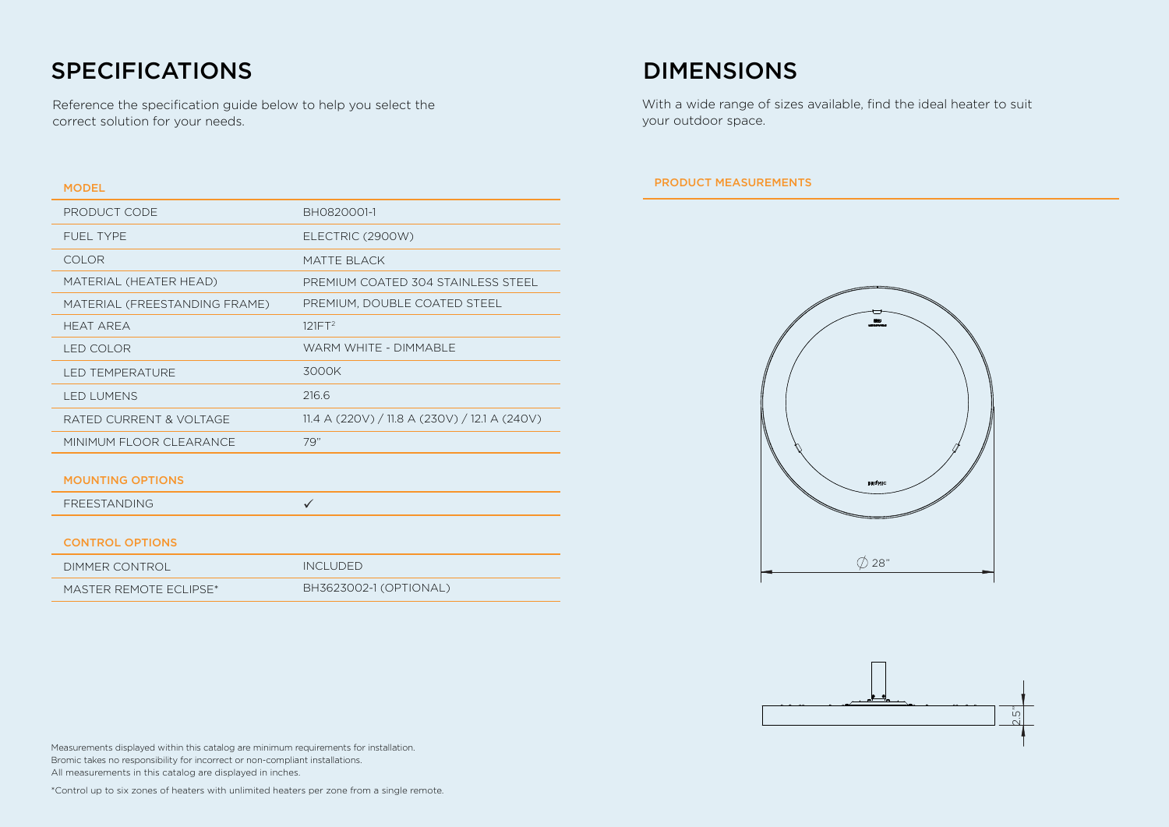# SPECIFICATIONS DIMENSIONS

Reference the specification guide below to help you select the correct solution for your needs.

### MODEL

| PRODUCT CODE                  | BH0820001-1                                   |
|-------------------------------|-----------------------------------------------|
| FUEL TYPE                     | ELECTRIC (2900W)                              |
| <b>COLOR</b>                  | MATTE BLACK                                   |
| MATERIAL (HEATER HEAD)        | PREMIUM COATED 304 STAINLESS STEEL            |
| MATERIAL (FREESTANDING FRAME) | PREMIUM, DOUBLE COATED STEEL                  |
| <b>HEAT AREA</b>              | 121FT <sup>2</sup>                            |
| LED COLOR                     | WARM WHITE - DIMMABLE                         |
| <b>LED TEMPERATURE</b>        | 3000K                                         |
| <b>LED LUMENS</b>             | 216.6                                         |
| RATED CURRENT & VOLTAGE       | 11.4 A (220V) / 11.8 A (230V) / 12.1 A (240V) |
| MINIMUM FLOOR CLEARANCE       | 79"                                           |
| <b>MOUNTING OPTIONS</b>       |                                               |
| <b>FREESTANDING</b>           | $\checkmark$                                  |
|                               |                                               |
| <b>CONTROL OPTIONS</b>        |                                               |
| <b>DIMMER CONTROL</b>         | <b>INCLUDED</b>                               |
| MASTER REMOTE ECLIPSE*        | BH3623002-1 (OPTIONAL)                        |

With a wide range of sizes available, find the ideal heater to suit your outdoor space.

### PRODUCT MEASUREMENTS





Measurements displayed within this catalog are minimum requirements for installation. Bromic takes no responsibility for incorrect or non-compliant installations. All measurements in this catalog are displayed in inches.

\*Control up to six zones of heaters with unlimited heaters per zone from a single remote.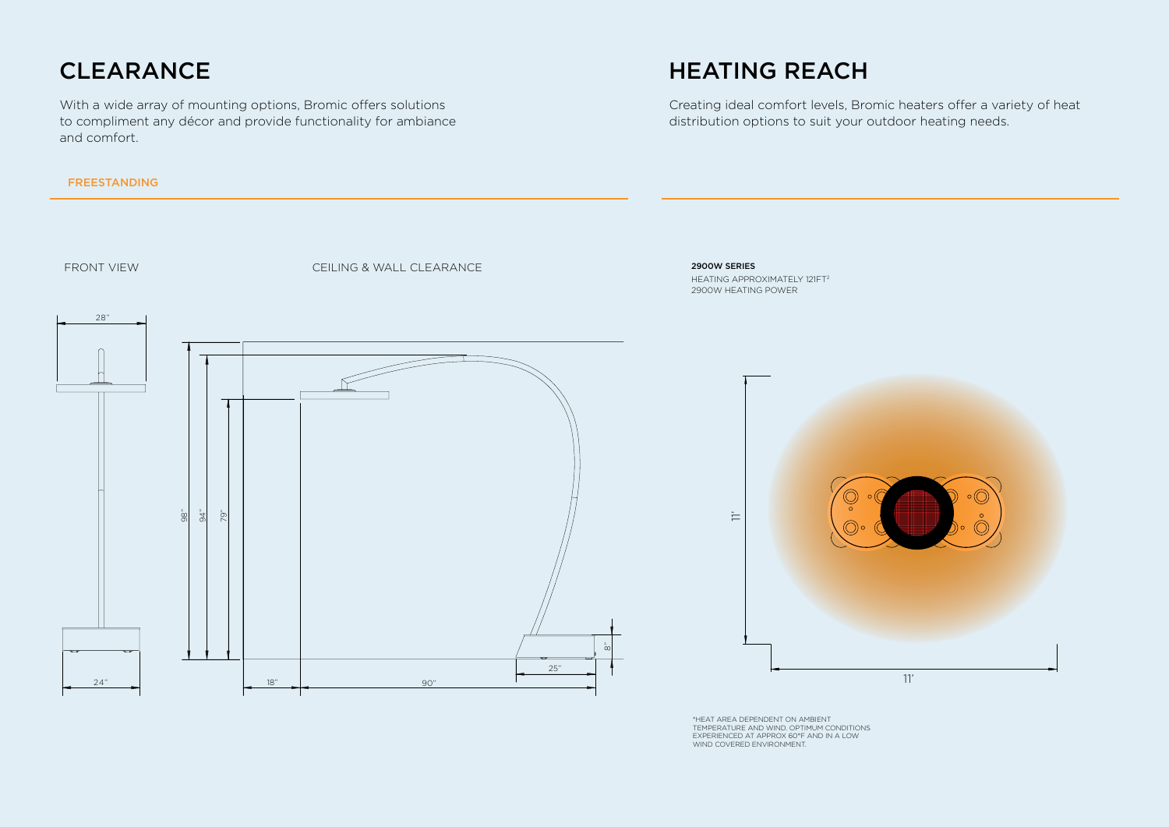# CLEARANCE

With a wide array of mounting options, Bromic offers solutions to compliment any décor and provide functionality for ambiance and comfort.

### FREESTANDING

# HEATING REACH

Creating ideal comfort levels, Bromic heaters offer a variety of heat distribution options to suit your outdoor heating needs.



\*HEAT AREA DEPENDENT ON AMBIENT TEMPERATURE AND WIND. OPTIMUM CONDITIONS EXPERIENCED AT APPROX 60°F AND IN A LOW WIND COVERED ENVIRONMENT.